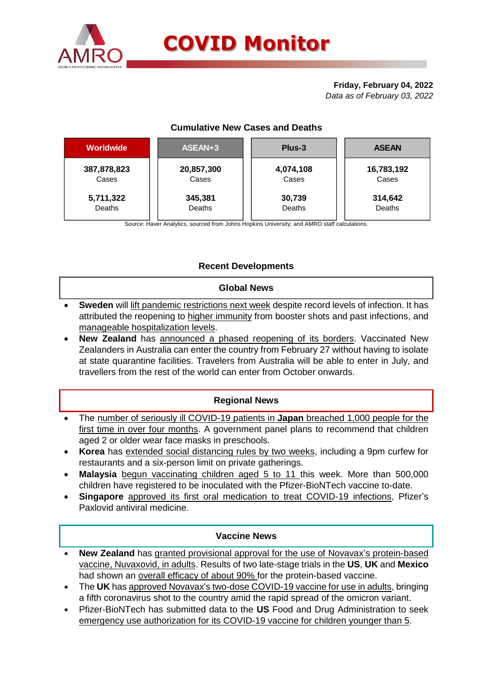

# **Friday, February 04, 2022**

*Data as of February 03, 2022*

# **Cumulative New Cases and Deaths**

| <b>Worldwide</b> | ASEAN+3    | Plus-3    | <b>ASEAN</b> |  |  |
|------------------|------------|-----------|--------------|--|--|
| 387,878,823      | 20,857,300 | 4,074,108 | 16,783,192   |  |  |
| Cases            | Cases      | Cases     | Cases        |  |  |
| 5,711,322        | 345,381    | 30,739    | 314,642      |  |  |
| Deaths           | Deaths     | Deaths    | Deaths       |  |  |

Source: Haver Analytics, sourced from Johns Hopkins University; and AMRO staff calculations.

# **Recent Developments**

# **Global News**

- **Sweden** will lift pandemic restrictions next week despite record levels of infection. It has attributed the reopening to higher immunity from booster shots and past infections, and manageable hospitalization levels.
- **New Zealand** has announced a phased reopening of its borders. Vaccinated New Zealanders in Australia can enter the country from February 27 without having to isolate at state quarantine facilities. Travelers from Australia will be able to enter in July, and travellers from the rest of the world can enter from October onwards.

# **Regional News**

- The number of seriously ill COVID-19 patients in **Japan** breached 1,000 people for the first time in over four months. A government panel plans to recommend that children aged 2 or older wear face masks in preschools.
- **Korea** has extended social distancing rules by two weeks, including a 9pm curfew for restaurants and a six-person limit on private gatherings.
- **Malaysia** begun vaccinating children aged 5 to 11 this week. More than 500,000 children have registered to be inoculated with the Pfizer-BioNTech vaccine to-date.
- **Singapore** approved its first oral medication to treat COVID-19 infections, Pfizer's Paxlovid antiviral medicine.

# **Vaccine News**

- **New Zealand** has granted provisional approval for the use of Novavax's protein-based vaccine, Nuvaxovid, in adults. Results of two late-stage trials in the **US**, **UK** and **Mexico** had shown an overall efficacy of about 90% for the protein-based vaccine.
- The **UK** has approved Novavax's two-dose COVID-19 vaccine for use in adults, bringing a fifth coronavirus shot to the country amid the rapid spread of the omicron variant.
- Pfizer-BioNTech has submitted data to the **US** Food and Drug Administration to seek emergency use authorization for its COVID-19 vaccine for children younger than 5.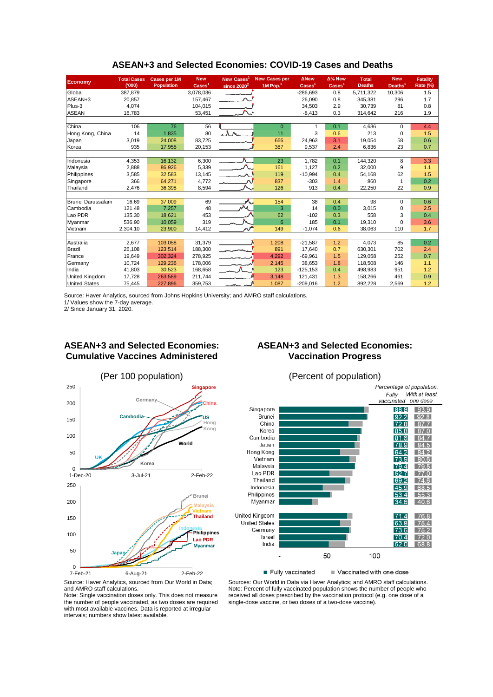| <b>Economy</b>       | <b>Total Cases</b> | <b>Cases per 1M</b> | <b>New</b>   | <b>New Cases</b> | <b>New Cases per</b> | <b>ANew</b>                 | $\Delta\%$ New             | <b>Total</b>  | <b>New</b>          | <b>Fatality</b> |
|----------------------|--------------------|---------------------|--------------|------------------|----------------------|-----------------------------|----------------------------|---------------|---------------------|-----------------|
|                      | (000)              | <b>Population</b>   | <b>Cases</b> | since $2020^2$   | 1M Pop.              | $\overline{\text{Cases}}^1$ | $\text{Case}$ <sup>1</sup> | <b>Deaths</b> | Deaths <sup>1</sup> | Rate (%)        |
| Global               | 387,879            |                     | 3,078,036    |                  |                      | $-286,693$                  | 0.8                        | 5,711,322     | 10,306              | 1.5             |
| ASEAN+3              | 20,857             |                     | 157,467      |                  |                      | 26,090                      | 0.8                        | 345,381       | 296                 | 1.7             |
| Plus-3               | 4,074              |                     | 104,015      |                  |                      | 34,503                      | 2.9                        | 30.739        | 81                  | 0.8             |
| <b>ASEAN</b>         | 16,783             |                     | 53,451       |                  |                      | $-8,413$                    | 0.3                        | 314,642       | 216                 | 1.9             |
|                      |                    |                     |              |                  |                      |                             |                            |               |                     |                 |
| China                | 106                | 76                  | 56           |                  | $\Omega$             | 1                           | 0.1                        | 4,636         | $\Omega$            | 4.4             |
| Hong Kong, China     | 14                 | 1,835               | 80           | whe              | 11                   | 3                           | 0.6                        | 213           | 0                   | 1.5             |
| Japan                | 3,019              | 24,008              | 83,725       |                  | 666                  | 24,963                      | 3.1                        | 19,054        | 58                  | 0.6             |
| Korea                | 935                | 17,955              | 20,153       |                  | 387                  | 9,537                       | 2.4                        | 6,836         | 23                  | 0.7             |
|                      |                    |                     |              |                  |                      |                             |                            |               |                     |                 |
| Indonesia            | 4,353              | 16,132              | 6,300        |                  | 23                   | 1,782                       | 0.1                        | 144,320       | 8                   | 3.3             |
| Malaysia             | 2,888              | 86,926              | 5,339        |                  | 161                  | 1,127                       | 0.2                        | 32,000        | 9                   | 1.1             |
| Philippines          | 3,585              | 32,583              | 13,145       | أحجبت            | 119                  | $-10,994$                   | 0.4                        | 54,168        | 62                  | 1.5             |
| Singapore            | 366                | 64,271              | 4,772        |                  | 837                  | $-303$                      | 1.4                        | 860           |                     | 0.2             |
| Thailand             | 2,476              | 36,398              | 8,594        |                  | 126                  | 913                         | 0.4                        | 22,250        | 22                  | 0.9             |
|                      |                    |                     |              |                  |                      |                             |                            |               |                     |                 |
| Brunei Darussalam    | 16.69              | 37,009              | 69           |                  | 154                  | 38                          | 0.4                        | 98            | $\Omega$            | 0.6             |
| Cambodia             | 121.48             | 7,257               | 48           |                  | 3                    | 14                          | 0.0                        | 3,015         | 0                   | 2.5             |
| Lao PDR              | 135.30             | 18,621              | 453          |                  | 62                   | $-102$                      | 0.3                        | 558           | 3                   | 0.4             |
| Myanmar              | 536.90             | 10,059              | 319          |                  | 6                    | 185                         | 0.1                        | 19,310        | $\Omega$            | 3.6             |
| Vietnam              | 2,304.10           | 23,900              | 14,412       |                  | 149                  | $-1,074$                    | 0.6                        | 38,063        | 110                 | 1.7             |
|                      |                    |                     |              |                  |                      |                             |                            |               |                     |                 |
| Australia            | 2,677              | 103,058             | 31,379       |                  | 1,208                | $-21,587$                   | 1.2                        | 4.073         | 85                  | 0.2             |
| Brazil               | 26,108             | 123,514             | 188,300      |                  | 891                  | 17,640                      | 0.7                        | 630,301       | 702                 | 2.4             |
| France               | 19,649             | 302,324             | 278,925      |                  | 4,292                | $-69,961$                   | 1.5                        | 129.058       | 252                 | 0.7             |
| Germany              | 10,724             | 129,236             | 178,006      |                  | 2,145                | 38,653                      | 1.8                        | 118.508       | 146                 | 1.1             |
| India                | 41,803             | 30,523              | 168,658      |                  | 123                  | $-125, 153$                 | 0.4                        | 498,983       | 951                 | 1.2             |
| United Kingdom       | 17,728             | 263,589             | 211,744      |                  | 3,148                | 121,431                     | 1.3                        | 158,266       | 461                 | 0.9             |
| <b>United States</b> | 75,445             | 227,896             | 359,753      |                  | 1,087                | $-209,016$                  | 1.2                        | 892,228       | 2,569               | 1.2             |

#### **ASEAN+3 and Selected Economies: COVID-19 Cases and Deaths**

Source: Haver Analytics, sourced from Johns Hopkins University; and AMRO staff calculations.

1/ Values show the 7-day average.

2/ Since January 31, 2020.

# **ASEAN+3 and Selected Economies: Cumulative Vaccines Administered**

# **ASEAN+3 and Selected Economies: Vaccination Progress**









Note: Single vaccination doses only. This does not measure the number of people vaccinated, as two doses are required with most available vaccines. Data is reported at irregular intervals; numbers show latest available.

Sources: Our World in Data via Haver Analytics; and AMRO staff calculations. Note: Percent of fully vaccinated population shows the number of people who received all doses prescribed by the vaccination protocol (e.g. one dose of a single-dose vaccine, or two doses of a two-dose vaccine).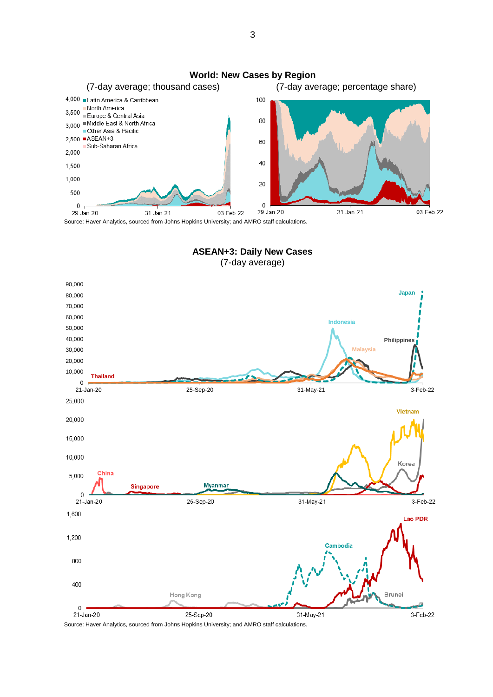**World: New Cases by Region** (7-day average; thousand cases) (7-day average; percentage share) 4,000 Latin America & Carribbean 100 North America 3,500 Europe & Central Asia 3,000 Middle East & North Africa 80 Other Asia & Pacific 2,500 ■ ASEAN+3 60 Sub-Saharan Africa 2.000 40 1,500 1,000 20 500  $\mathbf 0$  $\overline{0}$ 29-Jan-20 29-Jan-20 31-Jan-21 03-Feb-22 03-Feb-22 31-Jan-21

Source: Haver Analytics, sourced from Johns Hopkins University; and AMRO staff calculations.

**ASEAN+3: Daily New Cases** (7-day average)



Source: Haver Analytics, sourced from Johns Hopkins University; and AMRO staff calculations.